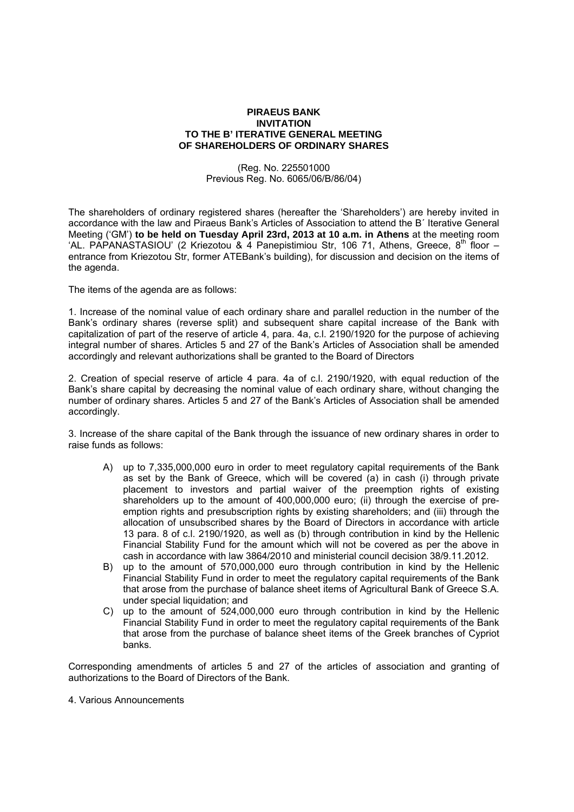## **PIRAEUS BANK INVITATION TO THE B' ITERATIVE GENERAL MEETING OF SHAREHOLDERS OF ORDINARY SHARES**

(Reg. No. 225501000 Previous Reg. No. 6065/06/Β/86/04)

The shareholders of ordinary registered shares (hereafter the 'Shareholders') are hereby invited in accordance with the law and Piraeus Bank's Articles of Association to attend the B΄ Iterative General Meeting ('GM') **to be held on Tuesday April 23rd, 2013 at 10 a.m. in Athens** at the meeting room 'AL. PAPANASTASIOU' (2 Kriezotou & 4 Panepistimiou Str, 106 71, Athens, Greece, 8<sup>th</sup> floor – entrance from Kriezotou Str, former ATEΒank's building), for discussion and decision on the items of the agenda.

The items of the agenda are as follows:

1. Increase of the nominal value of each ordinary share and parallel reduction in the number of the Bank's ordinary shares (reverse split) and subsequent share capital increase of the Bank with capitalization of part of the reserve of article 4, para. 4a, c.l. 2190/1920 for the purpose of achieving integral number of shares. Articles 5 and 27 of the Bank's Articles of Association shall be amended accordingly and relevant authorizations shall be granted to the Board of Directors

2. Creation of special reserve of article 4 para. 4a of c.l. 2190/1920, with equal reduction of the Bank's share capital by decreasing the nominal value of each ordinary share, without changing the number of ordinary shares. Articles 5 and 27 of the Bank's Articles of Association shall be amended accordingly.

3. Increase of the share capital of the Bank through the issuance of new ordinary shares in order to raise funds as follows:

- A) up to 7,335,000,000 euro in order to meet regulatory capital requirements of the Bank as set by the Bank of Greece, which will be covered (a) in cash (i) through private placement to investors and partial waiver of the preemption rights of existing shareholders up to the amount of 400,000,000 euro; (ii) through the exercise of preemption rights and presubscription rights by existing shareholders; and (iii) through the allocation of unsubscribed shares by the Board of Directors in accordance with article 13 para. 8 of c.l. 2190/1920, as well as (b) through contribution in kind by the Hellenic Financial Stability Fund for the amount which will not be covered as per the above in cash in accordance with law 3864/2010 and ministerial council decision 38/9.11.2012.
- B) up to the amount of 570,000,000 euro through contribution in kind by the Hellenic Financial Stability Fund in order to meet the regulatory capital requirements of the Bank that arose from the purchase of balance sheet items of Agricultural Bank of Greece S.A. under special liquidation; and
- C) up to the amount of 524,000,000 euro through contribution in kind by the Hellenic Financial Stability Fund in order to meet the regulatory capital requirements of the Bank that arose from the purchase of balance sheet items of the Greek branches of Cypriot banks.

Corresponding amendments of articles 5 and 27 of the articles of association and granting of authorizations to the Board of Directors of the Bank.

4. Various Announcements